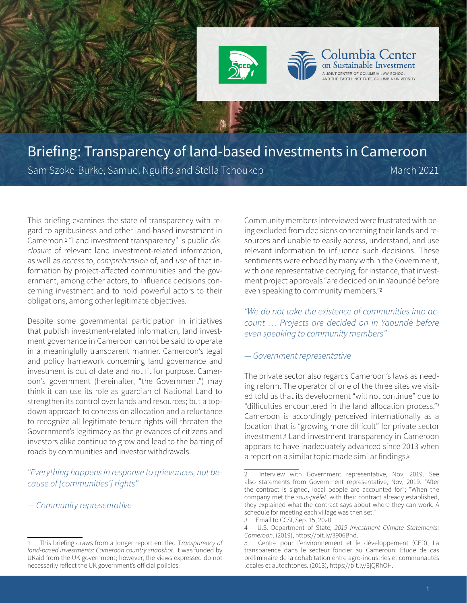

# Briefing: Transparency of land-based investments in Cameroon Sam Szoke-Burke, Samuel Nguiffo and Stella Tchoukep March 2021

This briefing examines the state of transparency with regard to agribusiness and other land-based investment in Cameroon.<sup>1</sup> "Land investment transparency" is public *disclosure* of relevant land investment-related information, as well as *access* to, *comprehension* of, and *use* of that information by project-affected communities and the government, among other actors, to influence decisions concerning investment and to hold powerful actors to their obligations, among other legitimate objectives.

Despite some governmental participation in initiatives that publish investment-related information, land investment governance in Cameroon cannot be said to operate in a meaningfully transparent manner. Cameroon's legal and policy framework concerning land governance and investment is out of date and not fit for purpose. Cameroon's government (hereinafter, "the Government") may think it can use its role as guardian of National Land to strengthen its control over lands and resources; but a topdown approach to concession allocation and a reluctance to recognize all legitimate tenure rights will threaten the Government's legitimacy as the grievances of citizens and investors alike continue to grow and lead to the barring of roads by communities and investor withdrawals.

# *"Everything happens in response to grievances, not because of [communities'] rights"*

## *— Community representative*

Community members interviewed were frustrated with being excluded from decisions concerning their lands and resources and unable to easily access, understand, and use relevant information to influence such decisions. These sentiments were echoed by many within the Government, with one representative decrying, for instance, that investment project approvals "are decided on in Yaoundé before even speaking to community members."<sup>2</sup>

**Transparency of land-based investments:** Cameroon country snapshot

*"We do not take the existence of communities into account … Projects are decided on in Yaoundé before even speaking to community members"* 

## *— Government representative*

The private sector also regards Cameroon's laws as needing reform. The operator of one of the three sites we visited told us that its development "will not continue" due to "difficulties encountered in the land allocation process."<sup>3</sup> Cameroon is accordingly perceived internationally as a location that is "growing more difficult" for private sector investment.<sup>4</sup> Land investment transparency in Cameroon appears to have inadequately advanced since 2013 when a report on a similar topic made similar findings.<sup>5</sup>

<sup>1</sup> This briefing draws from a longer report entitled T*ransparency of land-based investments: Cameroon country snapshot*. It was funded by UKaid from the UK government; however, the views expressed do not necessarily reflect the UK government's official policies.

Interview with Government representative, Nov, 2019. See also statements from Government representative, Nov, 2019. "After the contract is signed, local people are accounted for"; "When the company met the *sous-préfet*, with their contract already established, they explained what the contract says about where they can work. A schedule for meeting each village was then set."

<sup>3</sup> Email to CCSI, Sep. 15, 2020.

<sup>4</sup> U.S. Department of State, *2019 Investment Climate Statements: Cameroon*. (2019), [https://bit.ly/3906Bnd.](https://bit.ly/3906Bnd)

<sup>5</sup> Centre pour l'environnement et le développement (CED), La transparence dans le secteur foncier au Cameroun: Etude de cas préliminaire de la cohabitation entre agro-industries et communautés locales et autochtones. (2013), https://bit.ly/3jQRhOH.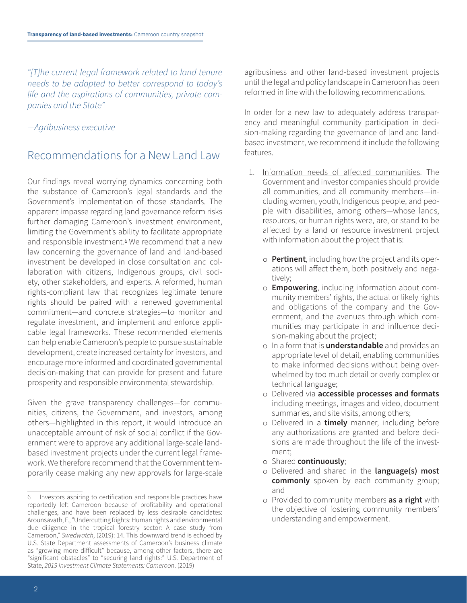*"[T]he current legal framework related to land tenure needs to be adapted to better correspond to today's life and the aspirations of communities, private companies and the State"* 

*—Agribusiness executive*

# Recommendations for a New Land Law

Our findings reveal worrying dynamics concerning both the substance of Cameroon's legal standards and the Government's implementation of those standards. The apparent impasse regarding land governance reform risks further damaging Cameroon's investment environment, limiting the Government's ability to facilitate appropriate and responsible investment.<sup>6</sup> We recommend that a new law concerning the governance of land and land-based investment be developed in close consultation and collaboration with citizens, Indigenous groups, civil society, other stakeholders, and experts. A reformed, human rights-compliant law that recognizes legitimate tenure rights should be paired with a renewed governmental commitment—and concrete strategies—to monitor and regulate investment, and implement and enforce applicable legal frameworks. These recommended elements can help enable Cameroon's people to pursue sustainable development, create increased certainty for investors, and encourage more informed and coordinated governmental decision-making that can provide for present and future prosperity and responsible environmental stewardship.

Given the grave transparency challenges—for communities, citizens, the Government, and investors, among others—highlighted in this report, it would introduce an unacceptable amount of risk of social conflict if the Government were to approve any additional large-scale landbased investment projects under the current legal framework. We therefore recommend that the Government temporarily cease making any new approvals for large-scale agribusiness and other land-based investment projects until the legal and policy landscape in Cameroon has been reformed in line with the following recommendations.

In order for a new law to adequately address transparency and meaningful community participation in decision-making regarding the governance of land and landbased investment, we recommend it include the following features.

- 1. Information needs of affected communities. The Government and investor companies should provide all communities, and all community members—including women, youth, Indigenous people, and people with disabilities, among others—whose lands, resources, or human rights were, are, or stand to be affected by a land or resource investment project with information about the project that is:
	- o **Pertinent**, including how the project and its operations will affect them, both positively and negatively;
	- o **Empowering**, including information about community members' rights, the actual or likely rights and obligations of the company and the Government, and the avenues through which communities may participate in and influence decision-making about the project;
	- o In a form that is **understandable** and provides an appropriate level of detail, enabling communities to make informed decisions without being overwhelmed by too much detail or overly complex or technical language;
	- o Delivered via **accessible processes and formats** including meetings, images and video, document summaries, and site visits, among others;
	- o Delivered in a **timely** manner, including before any authorizations are granted and before decisions are made throughout the life of the investment;
	- o Shared **continuously**;
	- o Delivered and shared in the **language(s) most commonly** spoken by each community group; and
	- o Provided to community members **as a right** with the objective of fostering community members' understanding and empowerment.

Investors aspiring to certification and responsible practices have reportedly left Cameroon because of profitability and operational challenges, and have been replaced by less desirable candidates: Arounsavath, F., "Undercutting Rights: Human rights and environmental due diligence in the tropical forestry sector: A case study from Cameroon," *Swedwatch*, (2019): 14. This downward trend is echoed by U.S. State Department assessments of Cameroon's business climate as "growing more difficult" because, among other factors, there are "significant obstacles" to "securing land rights:" U.S. Department of State, *2019 Investment Climate Statements: Cameroon*. (2019)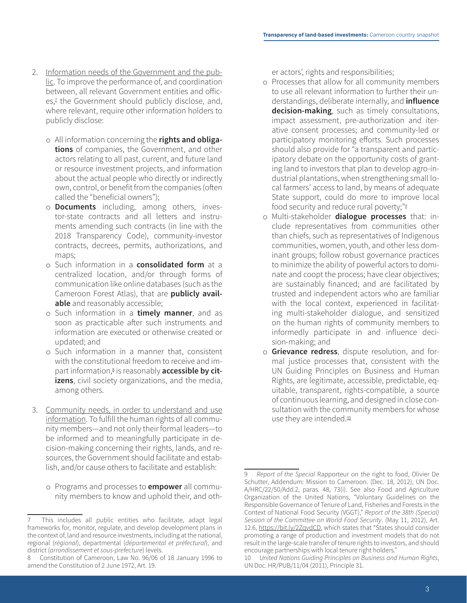- 2. Information needs of the Government and the public. To improve the performance of, and coordination between, all relevant Government entities and offices,<sup>2</sup> the Government should publicly disclose, and, where relevant, require other information holders to publicly disclose:
	- o All information concerning the **rights and obligations** of companies, the Government, and other actors relating to all past, current, and future land or resource investment projects, and information about the actual people who directly or indirectly own, control, or benefit from the companies (often called the "beneficial owners");
	- o **Documents** including, among others, investor-state contracts and all letters and instruments amending such contracts (in line with the 2018 Transparency Code), community-investor contracts, decrees, permits, authorizations, and maps;
	- o Such information in a **consolidated form** at a centralized location, and/or through forms of communication like online databases (such as the Cameroon Forest Atlas), that are **publicly available** and reasonably accessible;
	- o Such information in a **timely manner**, and as soon as practicable after such instruments and information are executed or otherwise created or updated; and
	- o Such information in a manner that, consistent with the constitutional freedom to receive and impart information,<sup>8</sup> is reasonably **accessible by citizens**, civil society organizations, and the media, among others.
- 3. Community needs, in order to understand and use information. To fulfill the human rights of all community members—and not only their formal leaders—to be informed and to meaningfully participate in decision-making concerning their rights, lands, and resources, the Government should facilitate and establish, and/or cause others to facilitate and establish:
	- o Programs and processes to **empower** all community members to know and uphold their, and oth-

er actors', rights and responsibilities;

- o Processes that allow for all community members to use all relevant information to further their understandings, deliberate internally, and **influence decision-making**, such as timely consultations, impact assessment, pre-authorization and iterative consent processes; and community-led or participatory monitoring efforts. Such processes should also provide for "a transparent and participatory debate on the opportunity costs of granting land to investors that plan to develop agro-industrial plantations, when strengthening small local farmers' access to land, by means of adequate State support, could do more to improve local food security and reduce rural poverty;"<sup>9</sup>
- o Multi-stakeholder **dialogue processes** that: include representatives from communities other than chiefs, such as representatives of Indigenous communities, women, youth, and other less dominant groups; follow robust governance practices to minimize the ability of powerful actors to dominate and coopt the process; have clear objectives; are sustainably financed; and are facilitated by trusted and independent actors who are familiar with the local context, experienced in facilitating multi-stakeholder dialogue, and sensitized on the human rights of community members to informedly participate in and influence decision-making; and
- o **Grievance redress**, dispute resolution, and formal justice processes that, consistent with the UN Guiding Principles on Business and Human Rights, are legitimate, accessible, predictable, equitable, transparent, rights-compatible, a source of continuous learning, and designed in close consultation with the community members for whose use they are intended.<sup>10</sup>

This includes all public entities who facilitate, adapt legal frameworks for, monitor, regulate, and develop development plans in the context of, land and resource investments, including at the national, regional (*régional*), departmental (*départemental et préfectural*), and district (*arrondissement et sous-prefecture*) levels.

<sup>8</sup> Constitution of Cameroon, Law No. 96/06 of 18 January 1996 to amend the Constitution of 2 June 1972, Art. 19.

<sup>9</sup> *Report of the Special* Rapporteur on the right to food, Olivier De Schutter, Addendum: Mission to Cameroon. (Dec. 18, 2012), UN Doc. A/HRC/22/50/Add.2, paras. 48, 73(i). See also Food and Agriculture Organization of the United Nations, "Voluntary Guidelines on the Responsible Governance of Tenure of Land, Fisheries and Forests in the Context of National Food Security (VGGT)," *Report of the 38th (Special) Session of the Committee on World Food Security*. (May 11, 2012), Art. 12.6, [https://bit.ly/2ZqvdCD,](https://bit.ly/2ZqvdCD) which states that "States should consider promoting a range of production and investment models that do not result in the large-scale transfer of tenure rights to investors, and should encourage partnerships with local tenure right holders."

<sup>10</sup> *United Nations Guiding Principles on Business and Human Rights*, UN Doc. HR/PUB/11/04 (2011), Principle 31.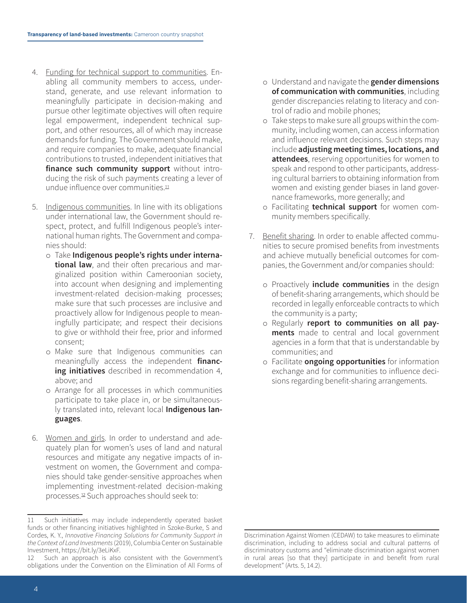- <span id="page-3-0"></span>4. Funding for technical support to communities. Enabling all community members to access, understand, generate, and use relevant information to meaningfully participate in decision-making and pursue other legitimate objectives will often require legal empowerment, independent technical support, and other resources, all of which may increase demands for funding. The Government should make, and require companies to make, adequate financial contributions to trusted, independent initiatives that **finance such community support** without introducing the risk of such payments creating a lever of undue influence over communities.<sup>11</sup>
- 5. Indigenous communities. In line with its obligations under international law, the Government should respect, protect, and fulfill Indigenous people's international human rights. The Government and companies should:
	- o Take **Indigenous people's rights under international law**, and their often precarious and marginalized position within Cameroonian society, into account when designing and implementing investment-related decision-making processes; make sure that such processes are inclusive and proactively allow for Indigenous people to meaningfully participate; and respect their decisions to give or withhold their free, prior and informed consent;
	- o Make sure that Indigenous communities can meaningfully access the independent **financing initiatives** described in recommendation [4](#page-3-0), above; and
	- o Arrange for all processes in which communities participate to take place in, or be simultaneously translated into, relevant local **Indigenous languages**.
- 6. Women and girls. In order to understand and adequately plan for women's uses of land and natural resources and mitigate any negative impacts of investment on women, the Government and companies should take gender-sensitive approaches when implementing investment-related decision-making processes.12 Such approaches should seek to:
- o Understand and navigate the **gender dimensions of communication with communities**, including gender discrepancies relating to literacy and control of radio and mobile phones;
- o Take steps to make sure all groups within the community, including women, can access information and influence relevant decisions. Such steps may include **adjusting meeting times, locations, and attendees**, reserving opportunities for women to speak and respond to other participants, addressing cultural barriers to obtaining information from women and existing gender biases in land governance frameworks, more generally; and
- o Facilitating **technical support** for women community members specifically.
- 7. Benefit sharing. In order to enable affected communities to secure promised benefits from investments and achieve mutually beneficial outcomes for companies, the Government and/or companies should:
	- o Proactively **include communities** in the design of benefit-sharing arrangements, which should be recorded in legally enforceable contracts to which the community is a party;
	- o Regularly **report to communities on all payments** made to central and local government agencies in a form that that is understandable by communities; and
	- o Facilitate **ongoing opportunities** for information exchange and for communities to influence decisions regarding benefit-sharing arrangements.

<sup>11</sup> Such initiatives may include independently operated basket funds or other financing initiatives highlighted in Szoke-Burke, S and Cordes, K. Y., *Innovative Financing Solutions for Community Support in the Context of Land Investments* (2019), Columbia Center on Sustainable Investment, https://bit.ly/3eLiKxF.

<sup>12</sup> Such an approach is also consistent with the Government's obligations under the Convention on the Elimination of All Forms of

Discrimination Against Women (CEDAW) to take measures to eliminate discrimination, including to address social and cultural patterns of discriminatory customs and "eliminate discrimination against women in rural areas [so that they] participate in and benefit from rural development" (Arts. 5, 14.2).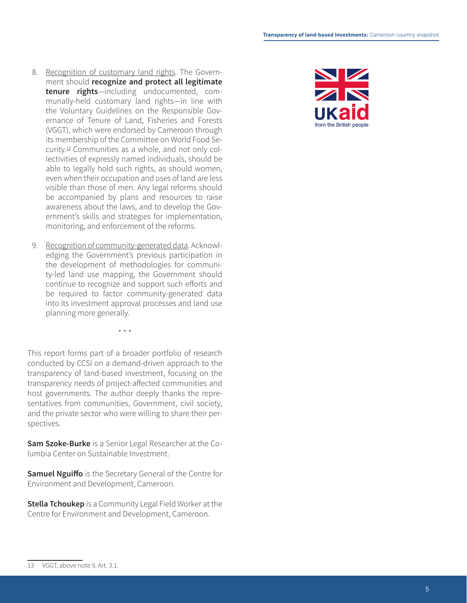- 8. Recognition of customary land rights. The Government should **recognize and protect all legitimate tenure rights**—including undocumented, com munally-held customary land rights—in line with the Voluntary Guidelines on the Responsible Gov ernance of Tenure of Land, Fisheries and Forests (VGGT), which were endorsed by Cameroon through its membership of the Committee on World Food Se curity.13 Communities as a whole, and not only col lectivities of expressly named individuals, should be able to legally hold such rights, as should women, even when their occupation and uses of land are less visible than those of men. Any legal reforms should be accompanied by plans and resources to raise awareness about the laws, and to develop the Gov ernment's skills and strategies for implementation, monitoring, and enforcement of the reforms.
- 9. Recognition of community-generated data. Acknowledging the Government's previous participation in the development of methodologies for communi ty-led land use mapping, the Government should continue to recognize and support such efforts and be required to factor community-generated data into its investment approval processes and land use planning more generally.

This report forms part of a broader portfolio of research conducted by CCSI on a demand-driven approach to the transparency of land-based investment, focusing on the transparency needs of project-affected communities and host governments. The author deeply thanks the repre sentatives from communities, Government, civil society, and the private sector who were willing to share their per spectives.

\* \* \*

**Sam Szoke-Burke** is a Senior Legal Researcher at the Co lumbia Center on Sustainable Investment.

**Samuel Nguiffo** is the Secretary General of the Centre for Environment and Development, Cameroon.

**Stella Tchoukep** is a Community Legal Field Worker at the Centre for Environment and Development, Cameroon.



<sup>13</sup> VGGT, above note 9, Art. 3.1.